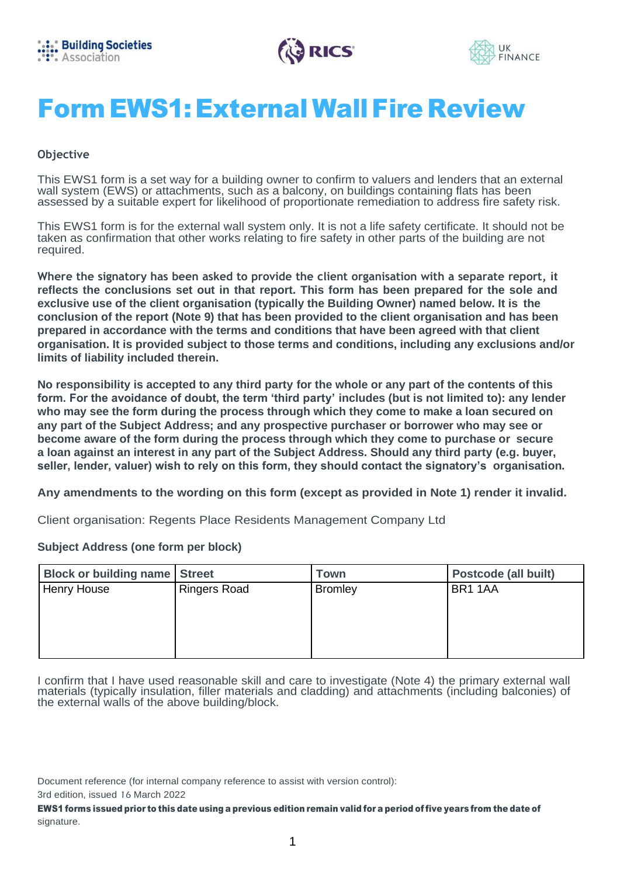



# Form EWS1:ExternalWallFire Review

#### **Objective**

This EWS1 form is a set way for a building owner to confirm to valuers and lenders that an external wall system (EWS) or attachments, such as a balcony, on buildings containing flats has been assessed by a suitable expert for likelihood of proportionate remediation to address fire safety risk.

This EWS1 form is for the external wall system only. It is not a life safety certificate. It should not be taken as confirmation that other works relating to fire safety in other parts of the building are not required.

**Where the signatory has been asked to provide the client organisation with a separate report, it reflects the conclusions set out in that report. This form has been prepared for the sole and exclusive use of the client organisation (typically the Building Owner) named below. It is the conclusion of the report (Note 9) that has been provided to the client organisation and has been prepared in accordance with the terms and conditions that have been agreed with that client organisation. It is provided subject to those terms and conditions, including any exclusions and/or limits of liability included therein.**

**No responsibility is accepted to any third party for the whole or any part of the contents of this form. For the avoidance of doubt, the term 'third party' includes (but is not limited to): any lender who may see the form during the process through which they come to make a loan secured on any part of the Subject Address; and any prospective purchaser or borrower who may see or become aware of the form during the process through which they come to purchase or secure a loan against an interest in any part of the Subject Address. Should any third party (e.g. buyer, seller, lender, valuer) wish to rely on this form, they should contact the signatory's organisation.**

**Any amendments to the wording on this form (except as provided in Note 1) render it invalid.**

Client organisation: Regents Place Residents Management Company Ltd

#### **Subject Address (one form per block)**

| <b>Block or building name Street</b> |                     | Town           | Postcode (all built) |
|--------------------------------------|---------------------|----------------|----------------------|
| <b>Henry House</b>                   | <b>Ringers Road</b> | <b>Bromley</b> | BR1 1AA              |
|                                      |                     |                |                      |
|                                      |                     |                |                      |
|                                      |                     |                |                      |
|                                      |                     |                |                      |

I confirm that I have used reasonable skill and care to investigate (Note 4) the primary external wall materials (typically insulation, filler materials and cladding) and attachments (including balconies) of the external walls of the above building/block.

Document reference (for internal company reference to assist with version control):

3rd edition, issued 16 March 2022

EWS1 forms issued prior to this date using a previous edition remain valid for a period offive years from the date of signature.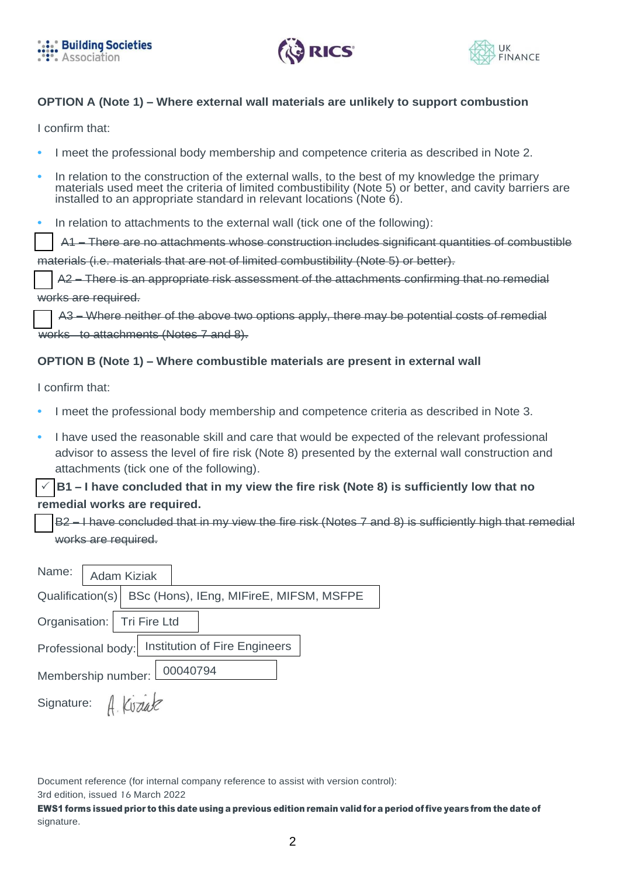





## **OPTION A (Note 1)** – **Where external wall materials are unlikely to support combustion**

I confirm that:

- **•** I meet the professional body membership and competence criteria as described in Note 2.
- **•** In relation to the construction of the external walls, to the best of my knowledge the primary materials used meet the criteria of limited combustibility (Note 5) or better, and cavity barriers are installed to an appropriate standard in relevant locations (Note 6).

**•** In relation to attachments to the external wall (tick one of the following):

- There are no attachments whose construction includes significant quantities of combustible materials (i.e. materials that are not of limited combustibility (Note 5) or better).

 A2 – There is an appropriate risk assessment of the attachments confirming that no remedial works are required.

 A3 – Where neither of the above two options apply, there may be potential costs of remedial works to attachments (Notes 7 and 8).

### **OPTION B (Note 1)** – **Where combustible materials are present in external wall**

I confirm that:

- **•** I meet the professional body membership and competence criteria as described in Note 3.
- **•** I have used the reasonable skill and care that would be expected of the relevant professional advisor to assess the level of fire risk (Note 8) presented by the external wall construction and attachments (tick one of the following).

 $\checkmark$  B1 – I have concluded that in my view the fire risk (Note 8) is sufficiently low that no **remedial works are required.**

B2 – I have concluded that in my view the fire risk (Notes 7 and 8) is sufficiently high that remedial works are required.

| Name:   Adam Kiziak                              |                                                            |  |  |  |  |  |
|--------------------------------------------------|------------------------------------------------------------|--|--|--|--|--|
|                                                  | Qualification(s)   BSc (Hons), IEng, MIFireE, MIFSM, MSFPE |  |  |  |  |  |
| Organisation:   Tri Fire Ltd                     |                                                            |  |  |  |  |  |
| Professional body: Institution of Fire Engineers |                                                            |  |  |  |  |  |
| Membership number: 00040794                      |                                                            |  |  |  |  |  |
| signature: A. Kuzak                              |                                                            |  |  |  |  |  |

Document reference (for internal company reference to assist with version control):

3rd edition, issued 16 March 2022

EWS1 forms issued prior to this date using a previous edition remain valid for a period offive years from the date of signature.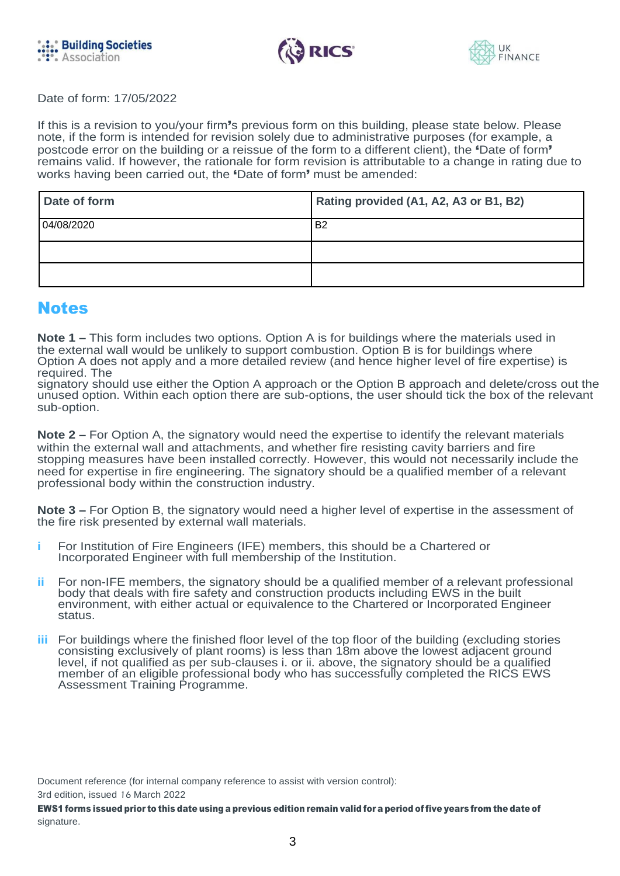





Date of form: 17/05/2022

If this is a revision to you/your firm's previous form on this building, please state below. Please note, if the form is intended for revision solely due to administrative purposes (for example, a postcode error on the building or a reissue of the form to a different client), the "Date of form" remains valid. If however, the rationale for form revision is attributable to a change in rating due to works having been carried out, the 'Date of form' must be amended:

| Date of form | Rating provided (A1, A2, A3 or B1, B2) |
|--------------|----------------------------------------|
| 04/08/2020   | B <sub>2</sub>                         |
|              |                                        |
|              |                                        |

# Notes

**Note 1** – This form includes two options. Option A is for buildings where the materials used in the external wall would be unlikely to support combustion. Option B is for buildings where Option A does not apply and a more detailed review (and hence higher level of fire expertise) is required. The

signatory should use either the Option A approach or the Option B approach and delete/cross out the unused option. Within each option there are sub-options, the user should tick the box of the relevant sub-option.

**Note 2** – For Option A, the signatory would need the expertise to identify the relevant materials within the external wall and attachments, and whether fire resisting cavity barriers and fire stopping measures have been installed correctly. However, this would not necessarily include the need for expertise in fire engineering. The signatory should be a qualified member of a relevant professional body within the construction industry.

**Note 3** – For Option B, the signatory would need a higher level of expertise in the assessment of the fire risk presented by external wall materials.

- **i** For Institution of Fire Engineers (IFE) members, this should be a Chartered or Incorporated Engineer with full membership of the Institution.
- **ii** For non-IFE members, the signatory should be a qualified member of a relevant professional body that deals with fire safety and construction products including EWS in the built environment, with either actual or equivalence to the Chartered or Incorporated Engineer status.
- **iii** For buildings where the finished floor level of the top floor of the building (excluding stories consisting exclusively of plant rooms) is less than 18m above the lowest adjacent ground level, if not qualified as per sub-clauses i. or ii. above, the signatory should be a qualified member of an [eligible professional body w](https://www.rics.org/contentassets/cbd2725ad73c4224a12e5e5f1d76eec9/ews-assessment_list-of-successful-completers_191121.pdf)ho has successfully completed the RICS EWS Assessment Training Programme.

Document reference (for internal company reference to assist with version control):

3rd edition, issued 16 March 2022

EWS1 forms issued prior to this date using a previous edition remain valid for a period offive years from the date of signature.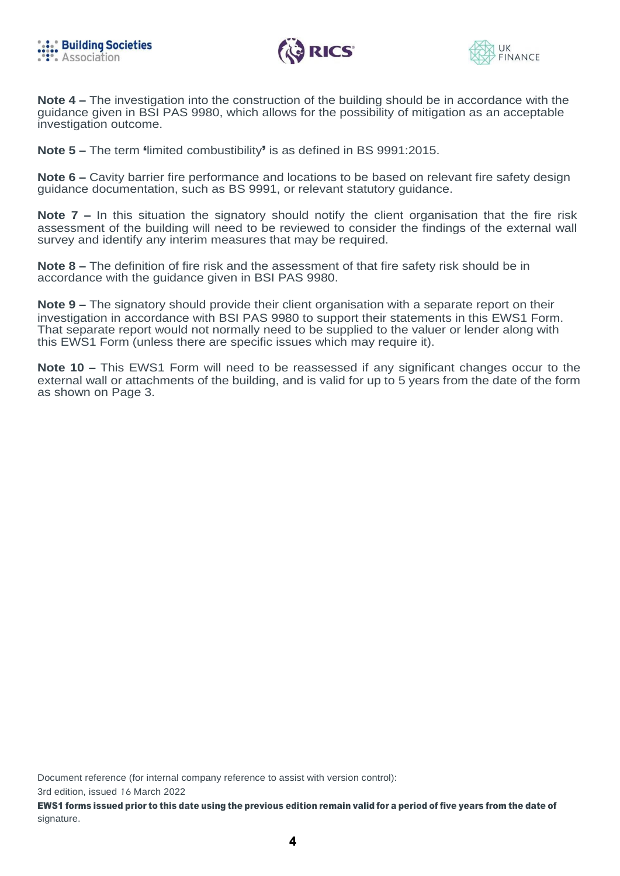



**Note 4** – The investigation into the construction of the building should be in accordance with the guidance given in BSI PAS 9980, which allows for the possibility of mitigation as an acceptable investigation outcome.

**Note 5** – The term 'limited combustibility' is as defined in BS 9991:2015.

**Note 6** – Cavity barrier fire performance and locations to be based on relevant fire safety design guidance documentation, such as BS 9991, or relevant statutory guidance.

**Note 7** – In this situation the signatory should notify the client organisation that the fire risk assessment of the building will need to be reviewed to consider the findings of the external wall survey and identify any interim measures that may be required.

**Note 8** – The definition of fire risk and the assessment of that fire safety risk should be in accordance with the guidance given in BSI PAS 9980.

**Note 9** – The signatory should provide their client organisation with a separate report on their investigation in accordance with BSI PAS 9980 to support their statements in this EWS1 Form. That separate report would not normally need to be supplied to the valuer or lender along with this EWS1 Form (unless there are specific issues which may require it).

**Note 10** – This EWS1 Form will need to be reassessed if any significant changes occur to the external wall or attachments of the building, and is valid for up to 5 years from the date of the form as shown on Page 3.

Document reference (for internal company reference to assist with version control):

3rd edition, issued 16 March 2022

EWS1 forms issued prior to this date using the previous edition remain valid for a period of five years from the date of signature.